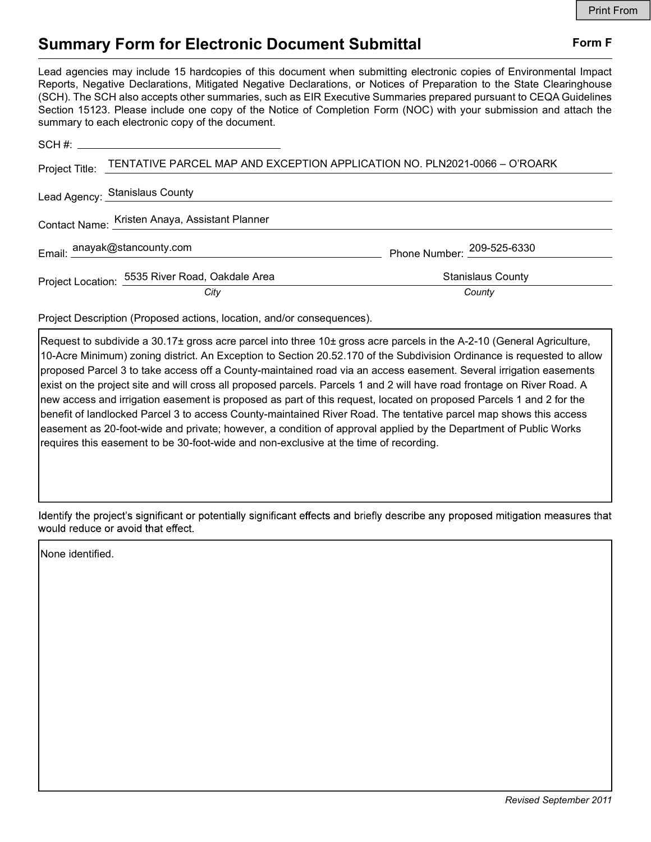## Summary Form for Electronic Document Submittal Form F

Lead agencies may include 15 hardcopies of this document when submitting electronic copies of Environmental Impact Reports, Negative Declarations, Mitigated Negative Declarations, or Notices of Preparation to the State Clearinghouse (SCH). The SCH also accepts other summaries, such as EIR Executive Summaries prepared pursuant to CEQA Guidelines Section 15123. Please include one copy of the Notice of Completion Form (NOC) with your submission and attach the summary to each electronic copy of the document.

|                                                | Project Title: TENTATIVE PARCEL MAP AND EXCEPTION APPLICATION NO. PLN2021-0066 - O'ROARK |                            |
|------------------------------------------------|------------------------------------------------------------------------------------------|----------------------------|
|                                                | Lead Agency: Stanislaus County                                                           |                            |
| Contact Name: Kristen Anaya, Assistant Planner |                                                                                          |                            |
|                                                | Email: <sup>anayak@stancounty.com</sup>                                                  | Phone Number: 209-525-6330 |
|                                                | Project Location: 5535 River Road, Oakdale Area                                          | <b>Stanislaus County</b>   |
|                                                | City                                                                                     | County                     |

Project Description (Proposed actions, location, and/or consequences).

Request to subdivide a 30.17± gross acre parcel into three 10± gross acre parcels in the A-2-10 (General Agriculture, 10-Acre Minimum) zoning district. An Exception to Section 20.52.170 of the Subdivision Ordinance is requested to allow proposed Parcel 3 to take access off a County-maintained road via an access easement. Several irrigation easements exist on the project site and will cross all proposed parcels. Parcels 1 and 2 will have road frontage on River Road. A new access and irrigation easement is proposed as part of this request, located on proposed Parcels 1 and 2 for the benefit of landlocked Parcel 3 to access County-maintained River Road. The tentative parcel map shows this access easement as 20-foot-wide and private; however, a condition of approval applied by the Department of Public Works requires this easement to be 30-foot-wide and non-exclusive at the time of recording.

Identify the project's significant or potentially significant effects and briefly describe any proposed mitigation measures that would reduce or avoid that effect.

None identified.